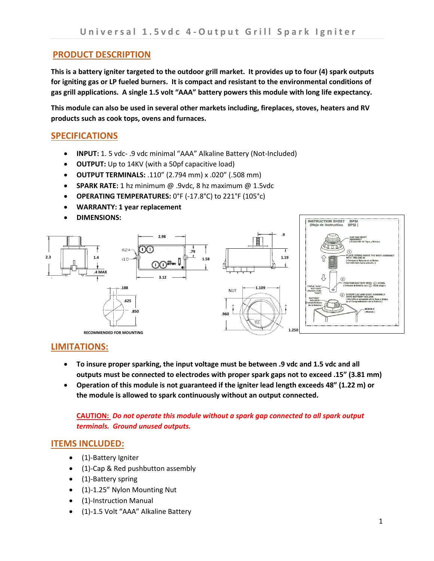# **PRODUCT DESCRIPTION**

**This is a battery igniter targeted to the outdoor grill market. It provides up to four (4) spark outputs for igniting gas or LP fueled burners. It is compact and resistant to the environmental conditions of gas grill applications. A single 1.5 volt "AAA" battery powers this module with long life expectancy.** 

**This module can also be used in several other markets including, fireplaces, stoves, heaters and RV products such as cook tops, ovens and furnaces.**

# **SPECIFICATIONS**

- **INPUT:** 1. 5 vdc- .9 vdc minimal "AAA" Alkaline Battery (Not-Included)
- **OUTPUT:** Up to 14KV (with a 50pf capacitive load)
- **OUTPUT TERMINALS:** .110" (2.794 mm) x .020" (.508 mm)
- **SPARK RATE:** 1 hz minimum @ .9vdc, 8 hz maximum @ 1.5vdc
- **OPERATING TEMPERATURES:** 0°F (-17.8°C) to 221°F (105°c)
- **WARRANTY: 1 year replacement**
- **DIMENSIONS:**



## **LIMITATIONS:**

- **To insure proper sparking, the input voltage must be between .9 vdc and 1.5 vdc and all outputs must be connected to electrodes with proper spark gaps not to exceed .15" (3.81 mm)**
- **Operation of this module is not guaranteed if the igniter lead length exceeds 48" (1.22 m) or the module is allowed to spark continuously without an output connected.**

### **CAUTION:** *Do not operate this module without a spark gap connected to all spark output terminals. Ground unused outputs.*

## **ITEMS INCLUDED:**

- (1)-Battery Igniter
- (1)-Cap & Red pushbutton assembly
- (1)-Battery spring
- (1)-1.25" Nylon Mounting Nut
- (1)-Instruction Manual
- (1)-1.5 Volt "AAA" Alkaline Battery